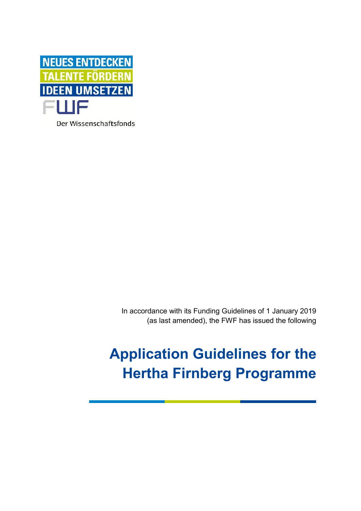

Der Wissenschaftsfonds.

In accordance with its Funding Guidelines of 1 January 2019 (as last amended), the FWF has issued the following

# **Application Guidelines for the Hertha Firnberg Programme**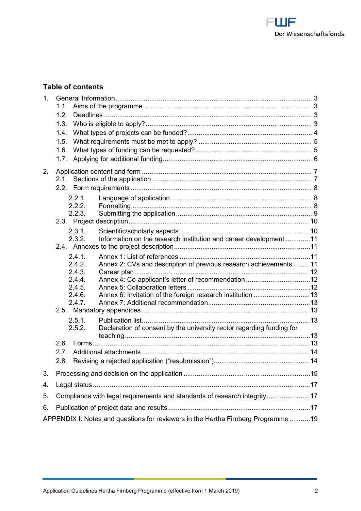Table coofntents

|                                                                                  | 1.5. What requirements must be met to apply?5                                                                 |  |
|----------------------------------------------------------------------------------|---------------------------------------------------------------------------------------------------------------|--|
|                                                                                  | 1.6. What types of funding can. be. requested?5                                                               |  |
|                                                                                  |                                                                                                               |  |
|                                                                                  |                                                                                                               |  |
|                                                                                  |                                                                                                               |  |
|                                                                                  |                                                                                                               |  |
|                                                                                  |                                                                                                               |  |
|                                                                                  |                                                                                                               |  |
|                                                                                  |                                                                                                               |  |
|                                                                                  |                                                                                                               |  |
|                                                                                  | 2.3.2. Information on the research institution and claireer deve                                              |  |
|                                                                                  |                                                                                                               |  |
|                                                                                  | 2.4.1. Annex 1: List of references11                                                                          |  |
|                                                                                  | 2.4. Annex 2: CVs and description of previous residarch ach                                                   |  |
|                                                                                  |                                                                                                               |  |
|                                                                                  | 2.4.4. Annex CAgapplicant sletter of recommendation1.2                                                        |  |
|                                                                                  | 2.4.5. Annex 5: Collaboration. letters 12<br>2.4.6. Annex 6: Invitation of the foreign.research.in.Stitution. |  |
|                                                                                  | 2.4.7. Annex 7: Addieticommanhendation1.3                                                                     |  |
|                                                                                  |                                                                                                               |  |
|                                                                                  |                                                                                                               |  |
|                                                                                  | 2.5.2. Declaration of consent by the university rector regardi                                                |  |
|                                                                                  |                                                                                                               |  |
|                                                                                  |                                                                                                               |  |
|                                                                                  | 2.8. Revisg a rejected application ( resub.m.i.ssion.)14                                                      |  |
|                                                                                  |                                                                                                               |  |
|                                                                                  | 3. Processing and decision on the application15                                                               |  |
|                                                                                  |                                                                                                               |  |
|                                                                                  | 5. Compliance with legal requirements and standards of tesearch i                                             |  |
|                                                                                  | 6. Publication of project data.and.results17                                                                  |  |
| APPENDIX I: Notes and questions for theav Feinwebres rign Pt thoeg. It alm 9 m e |                                                                                                               |  |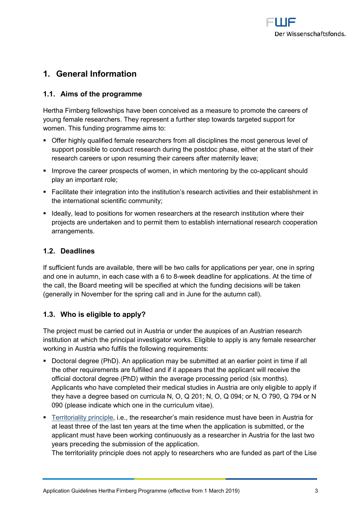# <span id="page-2-0"></span>1. General Information

#### <span id="page-2-1"></span>1.1.Aimsof the programme

Hertha Firneblelowshhippose becommicleived as a measure to promote the ca young femeaslearcheTrhsey represent a further step towards targeted s womenhis funding programme aims to:

- ð§ Offer highly **geanlaftieesde** archeormall disciplines the most generous le support possible to conduct research during the postdoc phase, researce are ers or upon resuming their careers after maternity leave
- ð§ Improve the career optwomenen, tsin when into rim gby-athelicocant should  $p$ la yn amportant role;
- ð§ Facilitate their integration into the institution s research activit the international scientific community ;
- ð§ Ideally, lead to positions for womeenseease arionhset itsulaitonh where their projects are undertaken and to permit them to establish internat arrangements.

# <span id="page-2-2"></span>1.2.Deadlines

Ifsufficient fu**ada**ibagteheere wi**it wooneed is for appshicaty coamen** spring andonen autumn, in eaxcilibe  $6$  steav  $6$  ek deadline for applications. At the the althe Board meeting will be specified at which the funding deci (generally in November for the spring call and in June for the autu

<span id="page-2-3"></span>1.3.Whois eligible to apply?

The project must be carried out in Austria or under the auspices o institution at which the principalEling vibled in a tapp pille omit is beauser archer working in Austria who fulfidsuitrheem fonlists: wing re

- ð§ Doctoral degre  $A$ n (PahpDp) ication may be submitted at an earlier point the other requirements are fulfilled and if it appears that the ap official doctoral degree (PhD) within the eads internage and ocessing pe Applicants who have completed their medical studies in Austria a they have a degree brasebla on Cur Q 201; N, O, Q 094; or N, O 790 090 (please indicate which one iitraethe curriculum
- ð§ [Territorialit](https://www.fwf.ac.at/fileadmin/files/Dokumente/Antragstellung/glossary_application-guidelines.pdf)y, pir. in hæptesearcher s main residence must have been at least three of the lastheen myeaws been the application is submitte applicant must have been working continuously as a researcher in years preceding the submission of the application.

The territoriality principle does not apapricy fluonrobees de anscipteurs with the l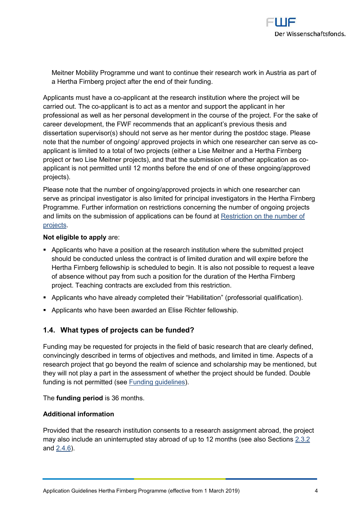Meitner Mobility Programme und want to continue absept portesearch a HerthFarnbepropject after the end of their funding

Applicants must  $\tt{map\nu}$  a and at the research instriby  $\tt{e}$  ioxh will ebre the p carried  $\delta$ hue.  $\alpha$  plicant is to act as a mentor and support the applicant professias awell as her personal development in the course of the p career development, the FWF recommend  $\epsilon$  that a fine applicant spr dissertation supervisor(s) should not serve as her meletencereduring the post note that the number of ongoing/ approved projects in which one r applicant is limited to a total of the sep Monitor (amitch ar Hertha Firnber project or two Lise Meitner projects), and that the submission of a applicant is not permitted until 12 months before the end of one  $\sigma$ projects).

Please note thabethe momgoing/approved projects in which one rese serve as principal inavles sotingial end rincorippial investing had onlier tha Firnberg ProgrammuethFer information on restrictions concerning the number and limits on the submission of applicPactionistic ahe be ufro bed caft [proje](https://www.fwf.ac.at/fileadmin/files/Dokumente/Antragstellung/project_number_limit.pdf)cts .

Not eligible to a raep: ply

ð§ Applicants who have a position at the research institution where should be conducted unless the contract is of limited duration an Hertha Firnberg fellowship is scheduled to begin ue stt ins lælas oven ot possible to reduce to reading the re of absence without pay from such a position for the duration of t  $\mathbf p$ roje $\mathbf \bar{\mathbf e}$  teaching contracts are excluded from this restriction.

ð§ Applicants who have already completed their Habilitation (profe ð§ Applicants who have been awarded an Elise Richter fellowship.

<span id="page-3-0"></span>1.4.What types of projects can be funded?

Funding may be requested for projects in the field of basic researd convincingly described in terms of objecitmivites daim dtimmeethoAdsp, eathsd df research project that go beyond the realm of science and scholars they will not play a part in the assessment of wheth**Double** project funding is not  $\beta$  eemitted ding quidelines

 $Thefunding$  peirs  $o3d6$  months.

Additional information

Provided that the restienan cohom instetnition to an eregisportant about the project may also include an uninterrupted stracynabiso as the of the of the S12 and $2.46$ .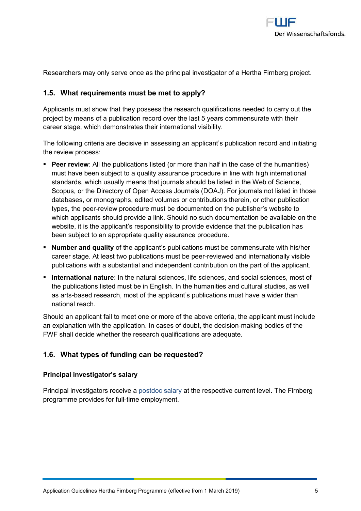Researchers mina yserve once as the principal investigator of a Herth

<span id="page-4-0"></span>1.5.What requirements must be met to apply?

Applicants must show that they possess the research qualification project by means of a publicantie hast  $\infty$  y de as we rommensurate with the last  $\infty$ career stage, which demonstrates their international visibility.

The following criteria are decisive in assessing an applicant s pub the review process:

- ð§ Peer revieAw ! the pubslikiatiend (or more than half in the case of the must have been subject to a quality assurance procedure in line standards, which usually means that journals should be listed in Scopus, or the Dir@ pteory Access Journals (DOAJ). For journals no databases, or monographs, edited volumes or contributions there types, the reveloerw procedure must be documented on the publisher which applicants pstowide a link. Should no such documentation be website, it is the applicant s responsibility to provide evidence to been subject to an appropriate quality assurance procedure.
- ð§ Number and qualtihte appsion ambications must be commensurate with career stage. At least two public-neet voie weenned as in the errepeet eigh ally visible publications with a substantial and independent contribution on
- ð§ International :n anhuar matural sciences, life sciences, and social sc the publications listed must be in English. In the humanities and as artased research, most of the applicant s publications must h national reach.

Should an applicant fail to meet one or more of the above criteria, an explanation with the application. In cassmeask ionfg dboaudbite, stible tcheecisio FWF shall decide whether the research qualifications are adequate

<span id="page-4-1"></span>1.6.What types of funding can be requested?

Principal investigator s salary

Principal investigators stelo eivel tathe respective current in the berg programme parfcowrid-teil the employment.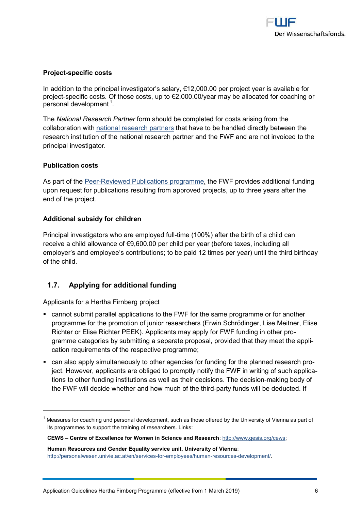#### Proje-specific costs

In addition ptrointohiopal investigatod 2, so Goal a Oyper project year is availal project  $e$  cific costs. Of those  $\alpha$   $\alpha$   $\alpha$ s  $\alpha$   $\beta$   $\alpha$   $\beta$   $\alpha$   $\beta$   $\alpha$   $\alpha$   $\beta$   $\alpha$   $\beta$   $\alpha$   $\beta$   $\alpha$   $\beta$   $\beta$   $\alpha$   $\beta$   $\beta$   $\alpha$   $\beta$   $\beta$   $\alpha$   $\beta$   $\beta$   $\alpha$   $\beta$   $\beta$   $\beta$   $\alpha$   $\beta$   $\beta$   $\alpha$   $\beta$  persondælvelopm<sup>e</sup>.ent

TheNational Researcho Pmarshould be completed for costs arising from collaboration na twith that research that have to be handled directly betwe research institution of the national research partner and the FWF principal investigator.

Publication costs

As part of PetemBeviewed Publications the of MaFin preovides additional fun upon request for publications resulting from approved projects, up end of the project.

Additional subschwidoen

Pincipal investwiggatours empfluoliyiend of 00 yafter the birth of a child can receive a child all-OlyManCCO eorfchild pebleyfeae (axesluding all employer s and employee s contributions; to ubnetibahde 12 it dm beist phelay of the child.

### <span id="page-5-0"></span>1.7. Applying for additional funding

Applicants Hearthair nberg project

- ð§ cannot submit parallel applications to the FWF for the same prog programme for the promotion of junioc hrreösdeiageehrers is (Er Mient Sier, Elise Meither, Elise Meither, Elis Richter or Elise Richter PEEK). Applicants may apply for FWF fu gramme categories by submitting a separate proposal, -provided t cation requirements of the respective programme;
- ð§ can sad apply simultaneously to other agencies for funding for the ject. However, applicants are obliged to promptly notify the FWF tions to other funding institutions as well as mhadaig denodiysions. The the FWF will decide whether and hop war thy u funn distinied the the ducted.

CEWS Centre of Excellence for Women in Scientule : a/nudw Research reviews

 $^{\text{1}}$  Measures for coaching und personal development, such as those offered by the I its programmes apport the training of researchers. Links:

Human Resources and Gender Equality service unit, University of Vienna : http://personalwesen.univie.- $a$ co-reamtpéony/seners/inquens a pur colees/elopment/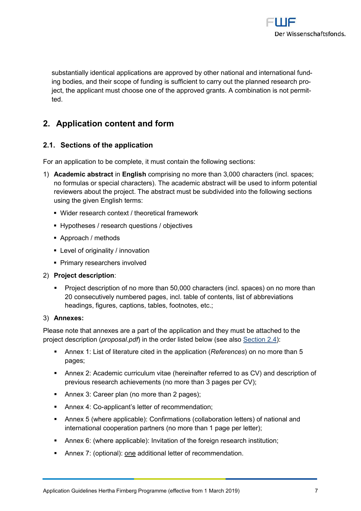substantially identical applications are approved by other nation ing bodies, and their scope of funding hee spulathina beechtret neeraan chy portout t ject, the applicant must choose one of the approved grants. A co ted.

# <span id="page-6-0"></span>2. Application content and form

<span id="page-6-1"></span>2.1.Sections of the application

For an application to be complete, it must contain the following se

1) Academic absit **E**nglist comprising no more than 3,000 characters (in no formulas or special characters). The academic abstract will b reviewers about the prodjectact must be subdivided secution the follow using the given English terms:

ð§Wider research context / theoretical framework

ð§Hypotheses / research questions / objectives

ð§Approach / methods

ð§Level of originality / innovation

ð§Primary researchers involved

- 2) Project description :
	- ð§ Project description of no more than 50,000 characters (incl. s 20 consecutively numbered pages, inicst of babbore coantenss, headings, figures, captions, tables, footnotes, etc.;

3) Annexes :

Please note that aenanepxaerst anafp phiecatainoon they muastabcoined to the project descpingotojous a ( ) in dtfhe order list  $\mathbf c \in \mathbf R$  below tion : 2.4

- $\delta \S$  Annetx List bifteratouinteed in the apple  $\delta \S$  and  $\delta$  more than 5 pages;
- ð§ Anne $\alpha$  Academic curriculum vitae (hereinafter referred to as C previous research ac $(m \cdot e)$  mements and 3 pages per CV)
- $\delta \S$  Annex 3: Care (enro prhaorre than 2 pages)
- ð§ Annex 4 a Coplicant s letter of a riegonommend
- ð§ Anne5x (where app: Cocanbilie mations (collaboration letters) of nati international cooperation moment enters and page per letter)
- ð§ Annex (6where applibravbiltea)tion of the foreign re;search institution
- ð§ Annex (ð ptionoan) padditional letter of recommendation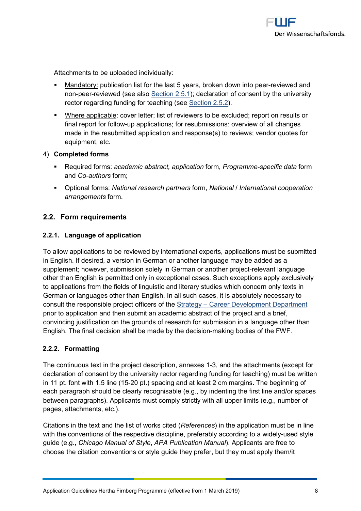Attachments to be uploaded individually:

- ð§ Mandatopruyblication list for the last 5 years, r**evo ewe** add a won into norpeerre view (seleals 6 e ctiol 5.1);declar a bifonon s beyntheuniversity rector a redifiugh ding for teacher  $\cos \theta$  in 2.5.1.2
- ð§ Where applicable letter; evinst vefsr to be expcolutiond; reesults or final refport ollum wapplications; for resubmissions: overview of a made in the resubmitted application and response(s) to review equipment, etc.
- 4) Completed forms
	- ð§ Required f**acnast**emic absapnpaloit $a$  to ormP, rogram-smo-nexo foilaform and  $C$  oauth of rost  $m$ ;
	- ð§ Optional f**ol**mantiso:nal researchfopr**anNtanteios fan**tternational cooperation arrangements.
- <span id="page-7-0"></span>2.2.Form requirements
- <span id="page-7-1"></span>2.2.1. Language of application

To allow applications to be reviewed by international experts, app in English. If desired, a version in German or another language ma supplement; however, submission solely in Gelenvaam goua agreother proj other than English is permitted only in exceptional cases. Such ex to applications from the fields of linguistic and literary studies wh German or languages other than English. albos all the the cases arist to consult the responsolbilie portsptice tateg [Career Development](https://www.fwf.ac.at/en/about-the-fwf/organisation/fwf-team/specialist-departments/strategy-career-development/) Department prior tplacpation and then submit an academic abstract of the projed convincing justification on the grounds of research for submission English. The final decision shall be-maxidegby othic side tither FWF.

#### <span id="page-7-2"></span> $2.2.2$ Formtating

The continuous text in the project desamidatibe, a the mod when is (except declaration of consent by the university rector ) engas dibag wuntdeng f in 11 pt. font with 210 5 ptimes  $\phi$  a  $\delta$  ing a  $\Omega$  decant mesears gtins. The beginning of each paragraph should be clearly recognisable (e.g., by indenting  $b$ etween paragraphs). Applicants must comply strictly with all upper pages, attachments, etc.).

Citations the text and the list  $\mathsf{Refw}$  or  $\mathsf{h}\mathsf{is}$  exitheed application must be in with the conventions of the respective discipline, purseefdersathy lige accor guide (eC. byi.cago Manual ADPAS tRyulestication). MAppropuladearnet of ree to choose the citation conventions or style guide they prefer, but the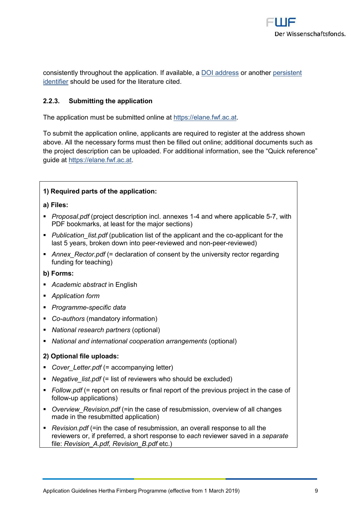consistently throughout the appli<u>cDaCtionad d</u>ifoeras wannid bubbelies, isatent [identi](https://en.wikipedia.org/wiki/Persistent_identifier)sheould be used for the literature cited.

<span id="page-8-0"></span>2.2.3.Submitting the application

The application must be submittibled/or mate fracture.

To submit the application online, applicants are required to regist above. All the necessary forms must then be filled out online; add the project description can be uploaded. Forthed di Quinion al rienffeorme mateion guidehatps://elane.fwf.ac.at

| 1)Required parts of the application:                                                                                                                                                                 |
|------------------------------------------------------------------------------------------------------------------------------------------------------------------------------------------------------|
| a) Files:                                                                                                                                                                                            |
| ð§ Proposal(.pondofject descripatni <b>o.ne</b> xi <b>en-s</b> al.nd wheapeplica5b71,ewith<br>PDF bookmarks, at least for the major sections)                                                        |
| ð§ Publication_(ipisutb piocfationthleis at popflicant a-maop pthioe faonort the<br>last 5 years, broken dorownieinvteed pæneede nemenviewed)                                                        |
| ð§ Annex_Rectó#d <b>ed</b> faration of conesenitvbystihy rector re<br>funding for teaching                                                                                                           |
| b) Forms:                                                                                                                                                                                            |
| ð§ A cademic a bisntnEancglish                                                                                                                                                                       |
| ð§ Application form                                                                                                                                                                                  |
| ð§ Programsmoeecific data                                                                                                                                                                            |
| ð§ Coautho (maandatory information)                                                                                                                                                                  |
| ð§ National research(oppationmeanls)                                                                                                                                                                 |
| ð§ National and international cooper(ætpibinomaar)angement                                                                                                                                           |
| 2) Optional file uploads:                                                                                                                                                                            |
| $\delta \S$ Cover Letté $\neq$ . adtompanying letter)                                                                                                                                                |
| ð§ Negative_li(s <del>_</del> t.lpi <b>si</b> fof reviewers who should be exclud                                                                                                                     |
| ð§ Follow (pdfeport on results or final report of the pre<br>followp applications)                                                                                                                   |
| ð§ Ovevie w_Revisi(œrinp dhfe case of resubmission, overv<br>made in the resubmitted application)                                                                                                    |
| ð§ Revision(. $\neq$ idnf the case of resubmission, an overall re<br>reviewers or, if preferred, a esahoohnetvni <b>es</b> wpeornssaev <b>stoe</b> lpianraant<br>fileRevision_A.pdf, Revestion_B.pdf |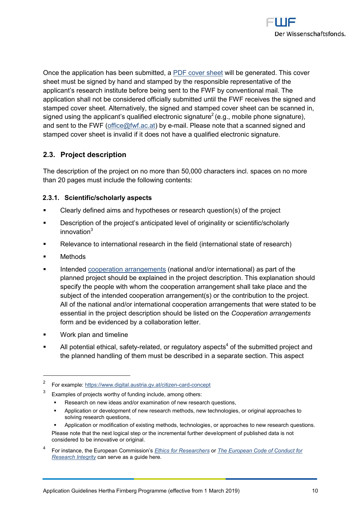Once the application has be emissubment two dided as equated. This cover sheet must be signed by hand and stamped by the responsible repi applicant s research institute before being sent to the FWF by con application shall not be considered unificition allarge until the signe stamped cover sheet. Alternatively, the signed and stamped cover signed using the applicant s qualified  $\hat{e}$  ed entromic spignatus equature) and sent to the fffel  $\mathbb{R}^d$  (wf) aby meail. Please note that a scanned signe stamped cover sheet is invalid if it does not have a qualified elect

## <span id="page-9-0"></span>2.3.Project description

The description of othereopmoginee cthan 50r, a0 of the rosh ian cl. spaces on no mor than 20 panguest include the following contents:

- <span id="page-9-1"></span>2.3.1Scientific/scholarly aspects
- ð§ Clearly defined aims and hypotheses or research question(s) o
- ð§ Description of the project s anticipated nlteifund bor and hag invality or s innovation
- ð§ Relevance to international research in the field (international
- ð§ Methods
- ð§ Intendendo peratiror angem emational and/or international) as part o planned project should be explained in the project description. specify the people with whom the cooperation arrangement shall subject of the indeed at domograngement(s) or the contribution to All of the national and/or international cooperation arrangemer essential in the project description Choophedrabte olnisate dangethents form and be edvible mace collaboration letter.
- ð§ Work plan and timeline
- $\delta \S$  All potential ethirceallated fecty regulat<sup>4</sup>corfy tahsep**s ubs**mitted project an the planned handling of them must be described in a separate

<sup>&</sup>lt;sup>2</sup> For exam hpthtop:s<u>://www.digital.austroiar-of ponact</u>elpittizen

 $3$  Examples of projectfund word inchual region thers

ð§ Researonhnew ideas ænxoba/notrinatifor new research questions,

ð§ Application or development monfenheovelsresneeavrothechomrologigiensal approaches to soling research questions

ð§ Application or modification of existing om eatphoprobsa, to heansehow orlongspiesas ch questions. Please note that the next logical step or the pimene motem published the and abeve is not considered to be innovative or original.

For instahe eE, utopean CommEits haicosn for Researche European Code of Conduct for [Research In](https://ec.europa.eu/research/participants/data/ref/h2020/other/hi/h2020-ethics_code-of-conduct_en.pdf)tegristerve as a guide here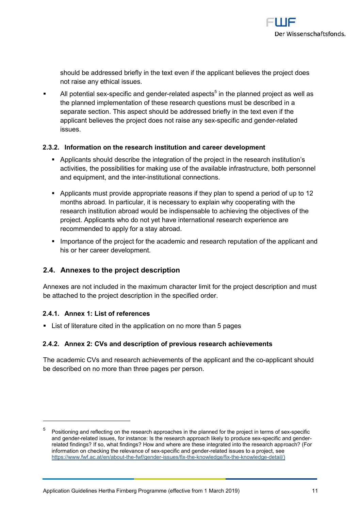should be addressetch text even if the applicant believes the p not raise any ethical issues.

- ð§ All potentisaplesœifxic and -rgeel**ade** ad as<sup>5</sup>pine ctthse planned project as well the planned implementation of these research questions must b separate section. This aspect should be addressed briefly in th applicant believes the project doeperconticaansed-magedyatessendx issues.
- <span id="page-10-0"></span>2.3.2. nformation on the research institution and career developmer
	- ð§ Applicasnhi**s** uld diebsec the integration of the project in the researc activities, the possibilities for making use of the available infra and equipment, and the internal connections.
	- ð§ Applicants pmous itd ppropriaten rea afs they plan to spend a period of months abroad. In particular, eixt pils with explaining with the research institution abroad would abcehiend insependispendievel of the project. Applicants who dootenontay extrabative search experience are recommended to apply for a stay abroad.
	- ð§ Importance of the project for the academic and research reputa his or her career development.
- <span id="page-10-1"></span>2.4.Annexes to the project description

Annexes are notim the denetaximum character limit for the project des be attached to the project description in the specified order.

<span id="page-10-2"></span>2.4.1Annext: List of references

ð§ List loiferatouinteed in the application on no more than 5 pages

<span id="page-10-3"></span>2.4.2Anne  $x: C \vee s$  and descropption of presearch achievements

The academic CrVes exam dh achievee mibe at applicant aampool this each cobould be described on no more than three pages per person.

 $^5$  Positioning and gone flten extire search apin hime apcheasened for the pernoonits of be cific andgend-eeed te dssue fso, instancse the research approach like-slypetosifpico and degene bele r related findling pos,? what filmid who aren't where are these integrated rional on the Froensearch a information on checking ethole  $\overline{\text{sp}}$  becularic and generation issues to a project, see https://www.fwf.ac.-ath/efewnf//aqbeon-icklesnues-fhick nowledg-teh/6kinowleddgeedail/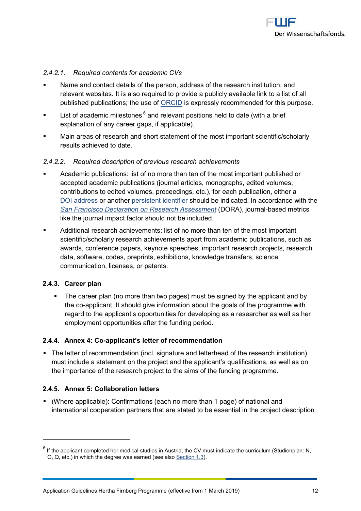#### 2.4.2.1. Required contents for academic CVs

- ð§ Name and contact details of the person, address of the researd relevant websites. It is also required to provide a publicly ava published publication  $\mathbb S$ . The uster partly recommended for this purp
- ð§ List of acanohėlme isoto<sup>6</sup>nænsd releprensitions held to date (with a brief explanation of any career gaps, if applicable).
- ð§ Main areas of research and short statement of the most import results achieved to date.
- 2.4.2.2. Required description of previous research achievements
- ð§ Academpiucblications: list of no more than ten of the most import accepted academic publications (journal articles, monographs, contributiconesdited volumes, procéendienagosh publication, either a [DOI add](http://www.doi.org/)ress another ersistent idsehnot untifide the indilonataled ordanctehewi [San Francisco Declaration on Re](https://sfdora.org/)s(4DaO RIA) As isoblassed to metrics like the journal impact factor should not be included.
- ð§ Additional research achievements: list of noimmpoornetathnan ten of t scientific/scholarly research achievements apart from academic awards, conference papers, keynote speeches, important resea data, software, codes, preprints, exhibitions, knowledge transf communication, licenses, or patents.
- <span id="page-11-0"></span>2.4.3Career plan
	- ð§ The a reeprlano more than two pages) must be signed by the app the capplicant. It should give information about the goals of the regard to the applicant s odpexped otpuinnigties foor ease awe the as her employment opportunities after the funding period.
- <span id="page-11-1"></span>2.4.4Anne k: Coapplicant s letter of recommendation
- ð§ The letter of recom immer bidgant ad nar fe and letterhead of the research in must include a strattement opect and the applicant s qualifications, the mportance of the research project to the aims of the funding
- <span id="page-11-2"></span>2.4.5Annex 5: Collaboration letters
- ð§ (Whereapplicable): Confirmations (each no more than 1 page) of national and international cooperation partners that are stated to be essentia

 $6$ If the applicant completed her medical studies in Austria, the CV must indicate t O,  $Q$ , etc.) in which the degree  $av \otimes c$  altern  $\otimes c$  (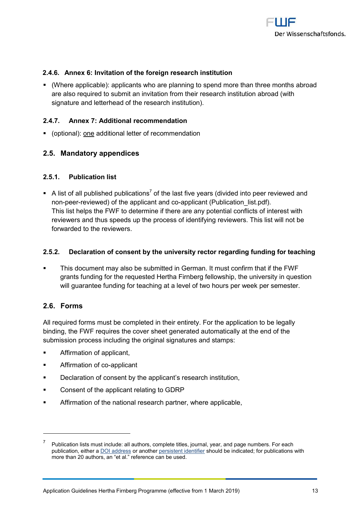<span id="page-12-0"></span>2.4.6Anne&: Invitation of the foreign research institution

- $\delta$ § (Where applicapolpllei): ants awou barming o sperndire than three a bonroporatonts are also required to submit an invitation from their research inst signature and letterhead of the research institution).
- <span id="page-12-1"></span>2.4.7.Annex 7: Addittector and mendation
- ð§ (optionoan); and ditional letter of recommendation
- <span id="page-12-2"></span>2.5 Mandatory appeendi
- <span id="page-12-3"></span>2.5.1.Publication list
- ð§ Alist of all published opfubhiec alianisetnyse ars (divide de ivniew opde earnd nopeer eviewed the applicant applicant blication list.pdf). This list helps the FWF to determine if there are any potential  $c_1$ reviewers and thus speeds up the process of identifying reviewe forwarded to the reviewers.
- <span id="page-12-4"></span> $2.5.2.$  Declaratoió n $\infty$  on sebnyth euniversity reegetar reding noting for teaching
- ð§ This documenat smbæysubmitted in German. It must confirm that if grants funding for the requested Hbewship, Funniversity in question will guarantee funding for teatowholnoous aptear weeveel per semester.
- <span id="page-12-5"></span>2.6.Forms

All required forms must be completed in their entirety. For the app binding, the FWF requires the cover sheet generated automatically submission process includ sing natueres ignimial stamps:

- ð§ Affirmation of applicant,
- ð§ Affirmationapploioant
- ð§ Declaration of consent by the applicant s research institution,
- ð§ Consent of the applicant relating to GDRP
- ð§ Affirmation of the national research partner, where applicable,

 $7$  Publication lists must include: all authors, complete titles, journal, year, and page  $10$ publication, **Diotheada** mers another mistent idselmot uffide the indicated; for publications wi more than 20 authors, an et al. reference can be used.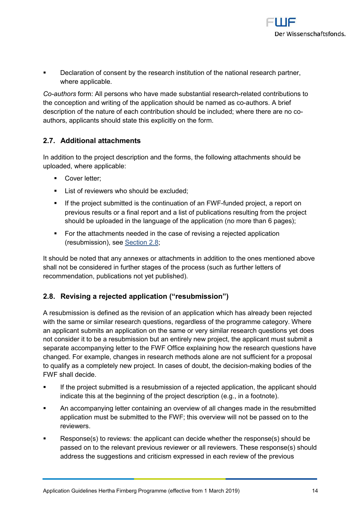ð§ Declaration of consent by the research institution of the natior where applicable.

Co-authofros rmA: Il persons who have made subrsetlaant eidal comest eidonucthions to the conception and writing of the applicadion at blooss. I dA ble rime afmed as description of the nature of each contribution should be included; authors, applicants should state this explicitly on the form.

<span id="page-13-0"></span>2.7.Additional attachments

In addition to the project descriptiohovainndg the tafohimms, niths eshioluld be uploaded, where applicable:

- ð§ Cover letter;
- ð§ List of reviewers who should be excluded;
- $\delta$ § Ifthe pro $\dot{\mathbf{s}}$  at the continuation of an FeW  $\mathsf{F}_r$  a report on previous results or a final report asndessullits in op from the attication reset should be uploaded in the language of the application (no mor
- $\delta$ § For the attachments needed in the case of revising a rejected  $(resubmissions, 8)$ <sub>e.</sub>tisee 8;

It should be noted that any annex**es** doitiant ao htmlend seish mentioned a shall not be considered in further stagesfuorth the etters coefss (such as recommendation, publications not yet published) .

<span id="page-13-1"></span>2.8. Revising a reapopole dation ( resubmission )

A resubmission is defined as the revision of an application which with the same or similar research questions, regardless of the pro an applicant submits an application one by stime is a mesearch questions yet on  $\mathbf s$ not consider it to be a resubmission but an entirely new project, t separate accompanying letter to the FWF Office explaining how the changed. For examopelse inchastearch methods alone are not sufficient to qualify as a completely new project. In c-massaeksinogfbolooduibets, othethobeci FWF shall decide.

- ð§ If the project submitted is a resubmission of a r**eteshed a**d pplica indicate this at the beginning of the project description (e.g.,
- ð§ An accompanying letter containing an overview of all changes application must be submitted to the FWF; this oveheiew will no reviewers.
- $\delta \S$  Response(s) to reviews: the applicant can decide whether the passed on to the relevant previous reviewer or all reviewers. T address the suggestions and criticism expressed in each review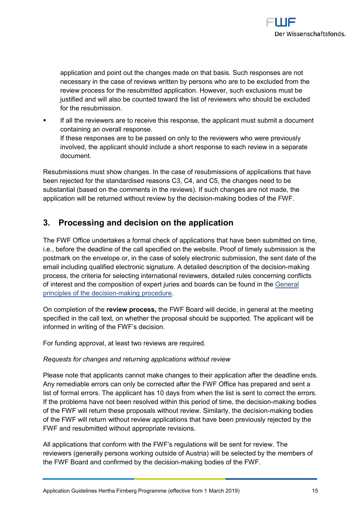applition and point out the changes made on that basis. Such response necessary in the case of reviews written by persons who are to review process for the resubmHiotweedvap,p bioahioenxclusions must be justified dnad swoilbe counted toward the list of reviewers who sh for the resubmission.

ð§ If all the reviewers are to receive this response, the applicant containing an overall response. If these responses are to betopalse and womly who were previous involved, the applicant should include a short response to each document.

Resubmissions must show changes. In the case of resubmissions o been rejected for the  $sdaadasdCSedC4$ , and  $C5$ , the changes need to substantial (based on the comments in the reviews). If such chang application will be returned without-meaking by the es defcibe of TWF.

# <span id="page-14-0"></span>3. Processing and decision contitume appli

The FWF Office undertakes aapoprimicaal tichheck chaovie been submitted on t i.e., before the deadline of the call specified on the website. Proo postmark on the envelope osplieney tene coansive bonfission, the sent date of email including qualified elecArdenia i beignahet a ceiption -matakthreg decision process, the criteria for selecting international reviewers, detailed of interest and thencommenopsetrito juries and boards caen be aflound in th principles of the make chision ocedure

On completion eovfiethw epoe os the FWF Board will decidethein mone eent erroal specified in the cushletenet, tohne proposal should be supported. The applicant will be supported. The applicant will be supported. informed in writing of the FWF s decision.

For funding approval, at least two reviews are required.

Requests for changes and returning applications without review

Please note that applicants cannot make changes to their applicat Any remediable errors can only be corrected after the FWF Office list offmfaol errors. The applicant has 10 days from when the list is s If the problems have not been resolved within thinsaberrigololocolfiets me, of the FWF will return these proposals withoustion a keiw. Similes  $\epsilon$ rly, the decription of the set is  $\epsilon$ of the FWF will return without review applications that have been FWF and resubmitted without appropriate revisions.

All applications that conform with the FWF s regulations will be se reviews (generally persons working outside of Austria) will be sele the FWF Board and confirmed mbayk it the boloechies sount the FWF.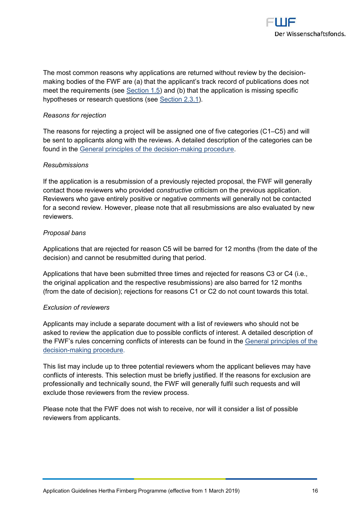The most common reasons why applications are returned without re making bodithe o FWF are (a) that the applicant s track record of pu meet the requirem sents of speand (b) that the application is missing s hypotheses or repuseesatriolms S(ssetei 2 n31).

Reasons for rejection

The reasons for rejecting a project will be assignCe5d amed owfilflive ca be sent to applicants along with the reviews. A detailed description found in Gtehree ral principles of -makeidg cps occredure

Resubmissions

If the application is a resubmission of a previously rejected propo contact those revi**e wew isdened miss**trucative dism on the previous application. Reviewers who gave entirely positive or negative comments will ge for a second review. However, please note that all resubmissions a reviewers.

Proposal bans

Applications that are rejected for reason C5 will be barred for 12 decision) and cannot be resubmitted during that period.

Applications that have been submitted three times and rejected for the original application and the respective resubmissions) are also (from the date of decision); rejections for reasons C1 or C2 do not

Exclusion of reviewers

Applicants may include a separatist doof cume we is the wah of should not be asked to review the application due to possible conflicts of interes the FWF s rules concerning conflicts of interests alcanimice of beusnel finihit decisimaking procedure

This list may include up to three potential reviewers whom the app conflicts of intheirse steslection emburiset fly justified. If the reasons for ex professionally and technically sound, the FWF will generally fulfil exclude those reviewers from the review process.

Please note that the FWF does not wits to otheorie elay dist or f wpids  $\dot{s}$  ible reviewers from applicants.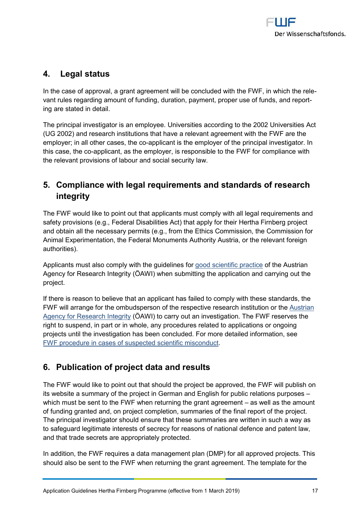# <span id="page-16-0"></span>4. Legal status

In the case of approval, a grant agreement will be concluded with vant rules regarding amount of funding, duration, payment, proper ing are stated in detail.

The principal investigator is an employee. Universities according to (UG 2002) and research institutions that have a relevant agreemer employer; in all other- $a$ ps bis ant is becomployer of the principal invest this case, -appolicoant, as the employer, is responsible to the FWF for the relevant provisions of labour and social security law.

# <span id="page-16-1"></span>5. Compliance with legal requirements anedaschendards integrity

The FWF would like to point out that applicants must comply with a safety provisions (e.g., Federal Disabiliti<del>les</del> Acat) Fith**ab**ear and y for the and obtain all the necessary peermetifics  $Q\in\mathcal{Q}$  om form os to the Commission Animal Experimentation, the Federal Monuments Authority Austria, authorities).

Applicants must also comply with otohde equatiidied ines action entition Agency for Research Integrity (ÖAWI) when submitting the application project.

If there is reason to believe that an applicant has failed to comply FWF will arrange fodrspheetsoom bouf the respective resear Audistinistritution [Agency for Resear](https://oeawi.at/?lang=en)ch  $\ddot{\text{o}}$  An  $\ddot{\text{o}}$  at  $\ddot{\text{o}}$  arry out an investigation. The FWF reserves the FWF reserves the state of  $\ddot{\text{o}}$  and  $\ddot{\text{o}}$  arry out an investigation. The FWF reserves the state of  $\ddot{\text{o}}$  right to suspend, in part or in whole, taon apportoio antes or to bant gending projects until the investigation has been concluded. For more deta FWF peodure in cases of suspected scientific misconduct

# <span id="page-16-2"></span>6. Publication of project data and results

The FWF would like to point out that should the project be approve its website a summary of the project in Germealantiaomos Ephugphiosshesior pu which must be sent to the FWF when returniansg wheel garsa ntheagame  $e$  unneth of funding granted and, on project completion, summaries of the fi The principal investigator should memsauries that the ristees in such a wa to safeguard legitimate interests of secrecy for reasons of nationa and that trade secrets are appropriately protected.

In addition, the FWF requires a data managemend plane (DBMPT) hier a should also be sent to the FWF when returning the grant agreement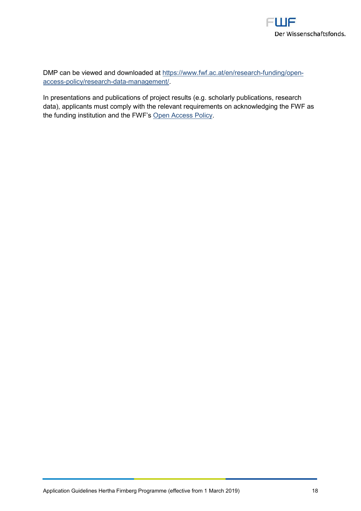DMP an be viewed and downnipad/ed watt ac.at/en/rfeusnedanghopen access [-policy/research](https://www.fwf.ac.at/en/research-funding/open-access-policy/research-data-management/) -data-management/ .

In presentations and publication  $s$  of  $c$  pool  $p$  and  $p$  and  $s$  in esearch data) applicants must comply with the relevant requirements on ack the funding institution **@md** the CEWSFS. SPolicy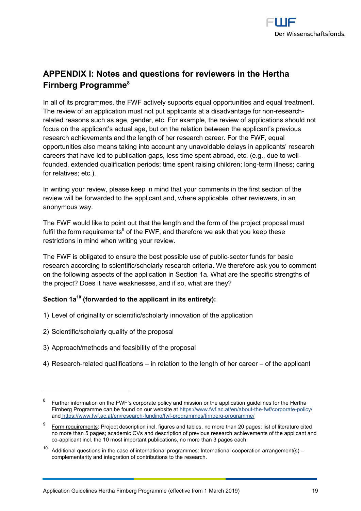# <span id="page-18-0"></span>APPENDIX Notes and questies and stried in the then a  $F$ irnbe $P$ rgo gram $^{\circ}$ me

In all of its programmes, the FWF actively supports equal opportur The review of an application must not put applicaretsse at cantisadvant related reasons such aderaged  $c$  g For example, the review of applicat focus on the applicant s actual age, but on the relation between the research achievements and the length of her research career. For opportunities assta meaninto account any unavoidable delays in app careers that have led to publication gaps, less time spent abroad, founded, extended qualification periods; time tepmenit Inneeissing oc achind of re for relatives; etc.).

In writing your review, please keep in mind that your comments in review will be forwarded to the applicant and, where applicable, o anonymous way.

The FWF would like to polen cotunt and tthe eform of the project propos fulfil the form re<sup>s</sup>qoufintehme eFn\MsF, and therefore we ask that you keep t restrictions in mind when writing your review.

The FWF is obligated to ensure the best exclosible dubs assicof public research according to scientific/scholarly research criteria. We th on the following aspects of the application in Section 1a. What are the project? Does it have weaknessetsheand if so, what are

Section<sup>10</sup> (forwarded to the applicant in its entirety):

1)Level of originality or scientific/scholarly innovation of the appl

2)Scientific/scholarly quality of the proposal

3)Approach/methods and feasibility of the proposal

4)Researrechlated qualificination heartible to the not here to the receptrium opicant

 $^8$  Further information on the FWF s corporate policy gaunid enhines sthosholmole rine application Firnberg Programmine found on our https://www.fwf.bout the-found/acorporative y/ andhttps://www.fwf.ac.at-fendriensypothypotic ammes/f-jornobgergamme/

 $^9$  <u>Form requir</u>emPerofisct descriptuion esimand faotles, no more than 20 pages; list of lit no more than 5 pages; academic CVs and descraption of presion the applicant and coapplicant incl. the 10 most important publications, no more than 3 pages eac

 $10$  Additional questions in the case of international programmes: International coo complementarity and integration of contributions to the research.